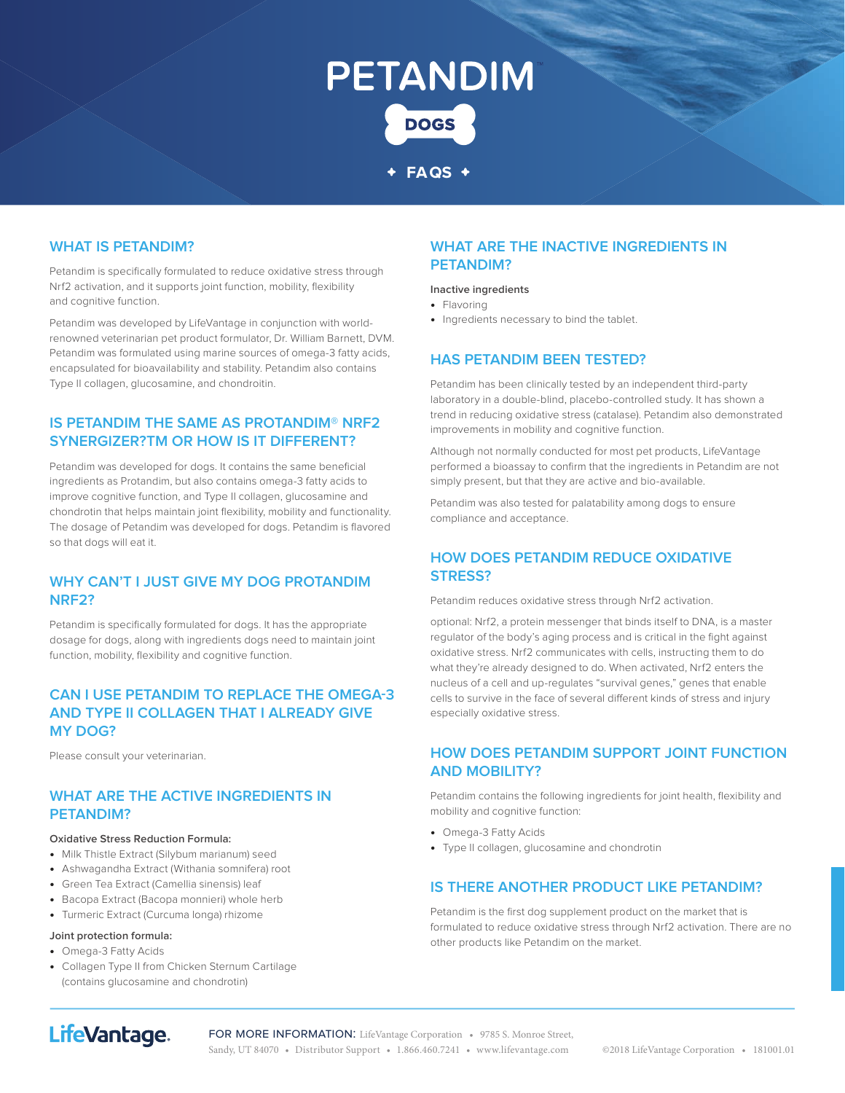# **PETANDIM DOGS**

**FAQS**

#### **WHAT IS PETANDIM?**

Petandim is specifically formulated to reduce oxidative stress through Nrf2 activation, and it supports joint function, mobility, flexibility and cognitive function.

Petandim was developed by LifeVantage in conjunction with worldrenowned veterinarian pet product formulator, Dr. William Barnett, DVM. Petandim was formulated using marine sources of omega-3 fatty acids, encapsulated for bioavailability and stability. Petandim also contains Type II collagen, glucosamine, and chondroitin.

#### **IS PETANDIM THE SAME AS PROTANDIM® NRF2 SYNERGIZER?TM OR HOW IS IT DIFFERENT?**

Petandim was developed for dogs. It contains the same beneficial ingredients as Protandim, but also contains omega-3 fatty acids to improve cognitive function, and Type II collagen, glucosamine and chondrotin that helps maintain joint flexibility, mobility and functionality. The dosage of Petandim was developed for dogs. Petandim is flavored so that dogs will eat it.

#### **WHY CAN'T I JUST GIVE MY DOG PROTANDIM NRF2?**

Petandim is specifically formulated for dogs. It has the appropriate dosage for dogs, along with ingredients dogs need to maintain joint function, mobility, flexibility and cognitive function.

#### **CAN I USE PETANDIM TO REPLACE THE OMEGA-3 AND TYPE II COLLAGEN THAT I ALREADY GIVE MY DOG?**

Please consult your veterinarian.

#### **WHAT ARE THE ACTIVE INGREDIENTS IN PETANDIM?**

#### **Oxidative Stress Reduction Formula:**

- **•** Milk Thistle Extract (Silybum marianum) seed
- **•** Ashwagandha Extract (Withania somnifera) root
- **•** Green Tea Extract (Camellia sinensis) leaf
- **•** Bacopa Extract (Bacopa monnieri) whole herb
- **•** Turmeric Extract (Curcuma longa) rhizome

#### **Joint protection formula:**

- **•** Omega-3 Fatty Acids
- **•** Collagen Type II from Chicken Sternum Cartilage (contains glucosamine and chondrotin)

#### **WHAT ARE THE INACTIVE INGREDIENTS IN PETANDIM?**

#### **Inactive ingredients**

- **•** Flavoring
- **•** Ingredients necessary to bind the tablet.

#### **HAS PETANDIM BEEN TESTED?**

Petandim has been clinically tested by an independent third-party laboratory in a double-blind, placebo-controlled study. It has shown a trend in reducing oxidative stress (catalase). Petandim also demonstrated improvements in mobility and cognitive function.

Although not normally conducted for most pet products, LifeVantage performed a bioassay to confirm that the ingredients in Petandim are not simply present, but that they are active and bio-available.

Petandim was also tested for palatability among dogs to ensure compliance and acceptance.

#### **HOW DOES PETANDIM REDUCE OXIDATIVE STRESS?**

Petandim reduces oxidative stress through Nrf2 activation.

optional: Nrf2, a protein messenger that binds itself to DNA, is a master regulator of the body's aging process and is critical in the fight against oxidative stress. Nrf2 communicates with cells, instructing them to do what they're already designed to do. When activated, Nrf2 enters the nucleus of a cell and up-regulates "survival genes," genes that enable cells to survive in the face of several different kinds of stress and injury especially oxidative stress.

#### **HOW DOES PETANDIM SUPPORT JOINT FUNCTION AND MOBILITY?**

Petandim contains the following ingredients for joint health, flexibility and mobility and cognitive function:

- **•** Omega-3 Fatty Acids
- **•** Type II collagen, glucosamine and chondrotin

#### **IS THERE ANOTHER PRODUCT LIKE PETANDIM?**

Petandim is the first dog supplement product on the market that is formulated to reduce oxidative stress through Nrf2 activation. There are no other products like Petandim on the market.

# LifeVantage.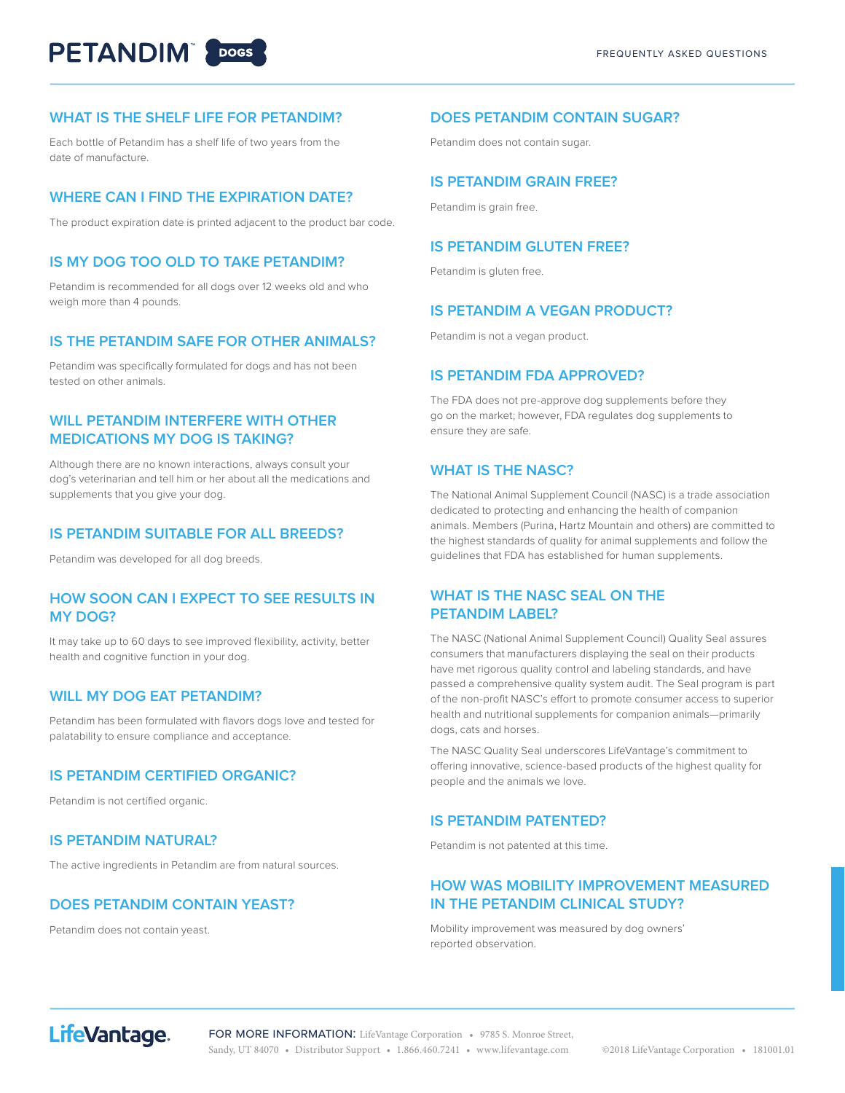# **PETANDIM POOSE**

#### **WHAT IS THE SHELF LIFE FOR PETANDIM?**

Each bottle of Petandim has a shelf life of two years from the date of manufacture.

#### **WHERE CAN I FIND THE EXPIRATION DATE?**

The product expiration date is printed adjacent to the product bar code.

#### **IS MY DOG TOO OLD TO TAKE PETANDIM?**

Petandim is recommended for all dogs over 12 weeks old and who weigh more than 4 pounds.

#### **IS THE PETANDIM SAFE FOR OTHER ANIMALS?**

Petandim was specifically formulated for dogs and has not been tested on other animals.

#### **WILL PETANDIM INTERFERE WITH OTHER MEDICATIONS MY DOG IS TAKING?**

Although there are no known interactions, always consult your dog's veterinarian and tell him or her about all the medications and supplements that you give your dog.

#### **IS PETANDIM SUITABLE FOR ALL BREEDS?**

Petandim was developed for all dog breeds.

#### **HOW SOON CAN I EXPECT TO SEE RESULTS IN MY DOG?**

It may take up to 60 days to see improved flexibility, activity, better health and cognitive function in your dog.

#### **WILL MY DOG EAT PETANDIM?**

Petandim has been formulated with flavors dogs love and tested for palatability to ensure compliance and acceptance.

#### **IS PETANDIM CERTIFIED ORGANIC?**

Petandim is not certified organic.

#### **IS PETANDIM NATURAL?**

The active ingredients in Petandim are from natural sources.

#### **DOES PETANDIM CONTAIN YEAST?**

Petandim does not contain yeast.

#### **DOES PETANDIM CONTAIN SUGAR?**

Petandim does not contain sugar.

#### **IS PETANDIM GRAIN FREE?**

Petandim is grain free.

#### **IS PETANDIM GLUTEN FREE?**

Petandim is gluten free.

#### **IS PETANDIM A VEGAN PRODUCT?**

Petandim is not a vegan product.

#### **IS PETANDIM FDA APPROVED?**

The FDA does not pre-approve dog supplements before they go on the market; however, FDA regulates dog supplements to ensure they are safe.

#### **WHAT IS THE NASC?**

The National Animal Supplement Council (NASC) is a trade association dedicated to protecting and enhancing the health of companion animals. Members (Purina, Hartz Mountain and others) are committed to the highest standards of quality for animal supplements and follow the guidelines that FDA has established for human supplements.

#### **WHAT IS THE NASC SEAL ON THE PETANDIM LABEL?**

The NASC (National Animal Supplement Council) Quality Seal assures consumers that manufacturers displaying the seal on their products have met rigorous quality control and labeling standards, and have passed a comprehensive quality system audit. The Seal program is part of the non-profit NASC's effort to promote consumer access to superior health and nutritional supplements for companion animals—primarily dogs, cats and horses.

The NASC Quality Seal underscores LifeVantage's commitment to offering innovative, science-based products of the highest quality for people and the animals we love.

#### **IS PETANDIM PATENTED?**

Petandim is not patented at this time.

#### **HOW WAS MOBILITY IMPROVEMENT MEASURED IN THE PETANDIM CLINICAL STUDY?**

Mobility improvement was measured by dog owners' reported observation.

# LifeVantage.

FOR MORE INFORMATION: LifeVantage Corporation • 9785 S. Monroe Street, Sandy, UT 84070 • Distributor Support • 1.866.460.7241 • www.lifevantage.com ©2018 LifeVantage Corporation • 181001.01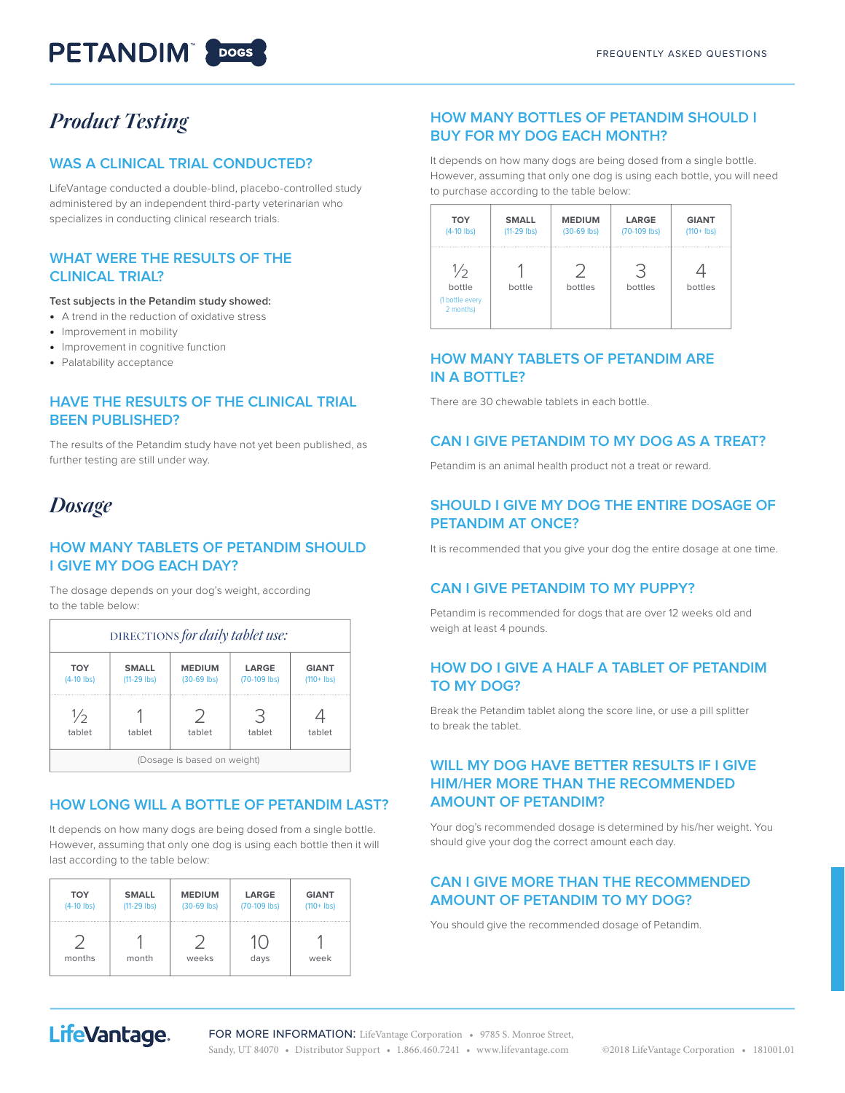# **PETANDIM** 20065

# *Product Testing*

#### **WAS A CLINICAL TRIAL CONDUCTED?**

LifeVantage conducted a double-blind, placebo-controlled study administered by an independent third-party veterinarian who specializes in conducting clinical research trials.

#### **WHAT WERE THE RESULTS OF THE CLINICAL TRIAL?**

**Test subjects in the Petandim study showed:**

- **•** A trend in the reduction of oxidative stress
- **•** Improvement in mobility
- **•** Improvement in cognitive function
- **•** Palatability acceptance

#### **HAVE THE RESULTS OF THE CLINICAL TRIAL BEEN PUBLISHED?**

The results of the Petandim study have not yet been published, as further testing are still under way.

### *Dosage*

#### **HOW MANY TABLETS OF PETANDIM SHOULD I GIVE MY DOG EACH DAY?**

The dosage depends on your dog's weight, according to the table below:

| DIRECTIONS for daily tablet use: |                               |                              |                       |                               |  |  |
|----------------------------------|-------------------------------|------------------------------|-----------------------|-------------------------------|--|--|
| <b>TOY</b><br>$(4-10$ lbs)       | <b>SMALL</b><br>$(11-29$ lbs) | <b>MEDIUM</b><br>(30-69 lbs) | LARGE<br>(70-109 lbs) | <b>GIANT</b><br>$(110 + 1bs)$ |  |  |
| $\frac{1}{2}$<br>tablet          | tablet                        | Γ<br>tablet                  | ∹<br>tablet           | tablet                        |  |  |
|                                  |                               | (Dosage is based on weight)  |                       |                               |  |  |

#### **HOW LONG WILL A BOTTLE OF PETANDIM LAST?**

It depends on how many dogs are being dosed from a single bottle. However, assuming that only one dog is using each bottle then it will last according to the table below:

| <b>TOY</b>   | <b>SMALL</b>  | <b>MEDIUM</b> | LARGE          | <b>GIANT</b>  |
|--------------|---------------|---------------|----------------|---------------|
| $(4-10$ lbs) | $(11-29$ lbs) | $(30-69$ lbs) | $(70-109$ lbs) | $(110 + Ibs)$ |
| months       | month         | weeks         | days           | week          |

#### **HOW MANY BOTTLES OF PETANDIM SHOULD I BUY FOR MY DOG EACH MONTH?**

It depends on how many dogs are being dosed from a single bottle. However, assuming that only one dog is using each bottle, you will need to purchase according to the table below:

| <b>TOY</b>                                              | <b>SMALL</b>  | <b>MEDIUM</b> | LARGE        | <b>GIANT</b>  |
|---------------------------------------------------------|---------------|---------------|--------------|---------------|
| $(4-10$ lbs)                                            | $(11-29$ lbs) | $(30-69$ lbs) | (70-109 lbs) | $(110 + 1bs)$ |
| $\frac{1}{2}$<br>bottle<br>(1 bottle every<br>2 months) | bottle        | bottles       | bottles      | bottles       |

#### **HOW MANY TABLETS OF PETANDIM ARE IN A BOTTLE?**

There are 30 chewable tablets in each bottle.

#### **CAN I GIVE PETANDIM TO MY DOG AS A TREAT?**

Petandim is an animal health product not a treat or reward.

#### **SHOULD I GIVE MY DOG THE ENTIRE DOSAGE OF PETANDIM AT ONCE?**

It is recommended that you give your dog the entire dosage at one time.

#### **CAN I GIVE PETANDIM TO MY PUPPY?**

Petandim is recommended for dogs that are over 12 weeks old and weigh at least 4 pounds.

#### **HOW DO I GIVE A HALF A TABLET OF PETANDIM TO MY DOG?**

Break the Petandim tablet along the score line, or use a pill splitter to break the tablet.

#### **WILL MY DOG HAVE BETTER RESULTS IF I GIVE HIM/HER MORE THAN THE RECOMMENDED AMOUNT OF PETANDIM?**

Your dog's recommended dosage is determined by his/her weight. You should give your dog the correct amount each day.

#### **CAN I GIVE MORE THAN THE RECOMMENDED AMOUNT OF PETANDIM TO MY DOG?**

You should give the recommended dosage of Petandim.

# LifeVantage.